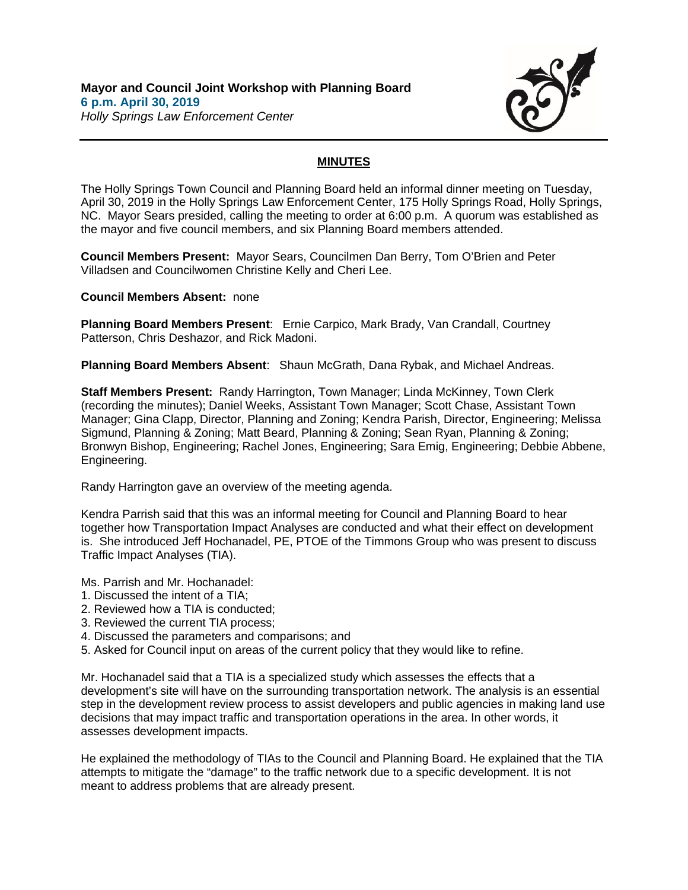

## **MINUTES**

The Holly Springs Town Council and Planning Board held an informal dinner meeting on Tuesday, April 30, 2019 in the Holly Springs Law Enforcement Center, 175 Holly Springs Road, Holly Springs, NC. Mayor Sears presided, calling the meeting to order at 6:00 p.m. A quorum was established as the mayor and five council members, and six Planning Board members attended.

**Council Members Present:** Mayor Sears, Councilmen Dan Berry, Tom O'Brien and Peter Villadsen and Councilwomen Christine Kelly and Cheri Lee.

**Council Members Absent:** none

**Planning Board Members Present**: Ernie Carpico, Mark Brady, Van Crandall, Courtney Patterson, Chris Deshazor, and Rick Madoni.

**Planning Board Members Absent**: Shaun McGrath, Dana Rybak, and Michael Andreas.

**Staff Members Present:** Randy Harrington, Town Manager; Linda McKinney, Town Clerk (recording the minutes); Daniel Weeks, Assistant Town Manager; Scott Chase, Assistant Town Manager; Gina Clapp, Director, Planning and Zoning; Kendra Parish, Director, Engineering; Melissa Sigmund, Planning & Zoning; Matt Beard, Planning & Zoning; Sean Ryan, Planning & Zoning; Bronwyn Bishop, Engineering; Rachel Jones, Engineering; Sara Emig, Engineering; Debbie Abbene, Engineering.

Randy Harrington gave an overview of the meeting agenda.

Kendra Parrish said that this was an informal meeting for Council and Planning Board to hear together how Transportation Impact Analyses are conducted and what their effect on development is. She introduced Jeff Hochanadel, PE, PTOE of the Timmons Group who was present to discuss Traffic Impact Analyses (TIA).

Ms. Parrish and Mr. Hochanadel:

- 1. Discussed the intent of a TIA;
- 2. Reviewed how a TIA is conducted;
- 3. Reviewed the current TIA process;
- 4. Discussed the parameters and comparisons; and
- 5. Asked for Council input on areas of the current policy that they would like to refine.

Mr. Hochanadel said that a TIA is a specialized study which assesses the effects that a development's site will have on the surrounding transportation network. The analysis is an essential step in the development review process to assist developers and public agencies in making land use decisions that may impact traffic and transportation operations in the area. In other words, it assesses development impacts.

He explained the methodology of TIAs to the Council and Planning Board. He explained that the TIA attempts to mitigate the "damage" to the traffic network due to a specific development. It is not meant to address problems that are already present.